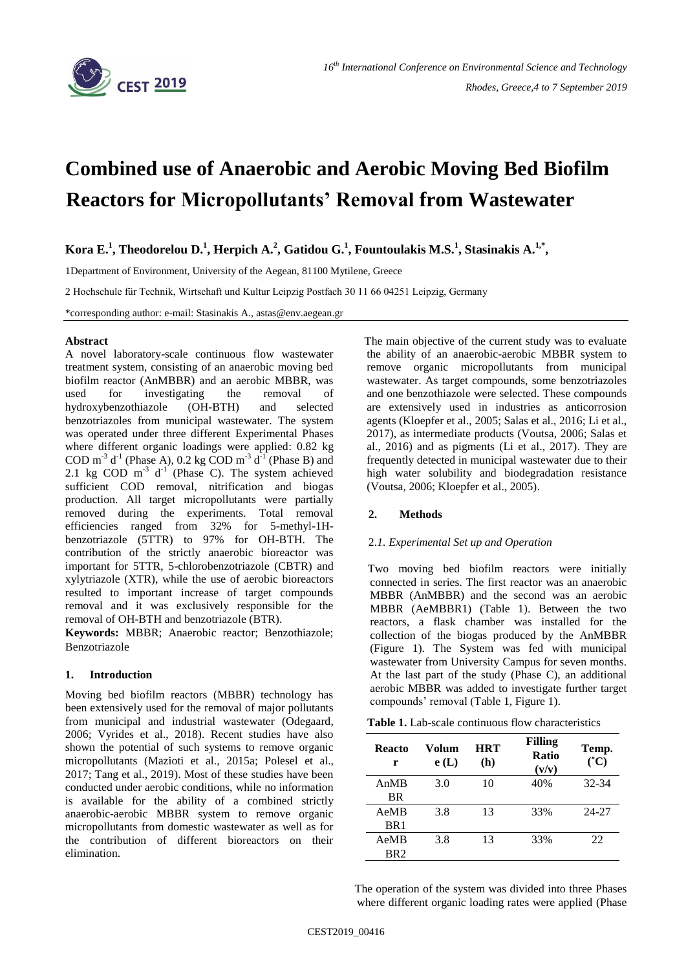

# **Combined use of Anaerobic and Aerobic Moving Bed Biofilm Reactors for Micropollutants' Removal from Wastewater**

**Kora E.<sup>1</sup> , Theodorelou D.<sup>1</sup> , Herpich A.<sup>2</sup> , Gatidou G.<sup>1</sup> , Fountoulakis M.S.<sup>1</sup> , Stasinakis A.1,\* ,** 

1Department of Environment, University of the Aegean, 81100 Mytilene, Greece

2 Hochschule für Technik, Wirtschaft und Kultur Leipzig Postfach 30 11 66 04251 Leipzig, Germany

\*corresponding author: e-mail: Stasinakis A., astas@env.aegean.gr

## **Abstract**

A novel laboratory-scale continuous flow wastewater treatment system, consisting of an anaerobic moving bed biofilm reactor (AnMBBR) and an aerobic MBBR, was used for investigating the removal of hydroxybenzothiazole (OH-BTH) and selected benzotriazoles from municipal wastewater. The system was operated under three different Experimental Phases where different organic loadings were applied: 0.82 kg COD m<sup>-3</sup> d<sup>-1</sup> (Phase A), 0.2 kg COD m<sup>-3</sup> d<sup>-1</sup> (Phase B) and 2.1 kg COD  $m<sup>-3</sup> d<sup>-1</sup>$  (Phase C). The system achieved sufficient COD removal, nitrification and biogas production. All target micropollutants were partially removed during the experiments. Total removal efficiencies ranged from 32% for 5-methyl-1Hbenzotriazole (5TTR) to 97% for OH-BTH. The contribution of the strictly anaerobic bioreactor was important for 5TTR, 5-chlorobenzotriazole (CBTR) and xylytriazole (XTR), while the use of aerobic bioreactors resulted to important increase of target compounds removal and it was exclusively responsible for the removal of OH-BTH and benzotriazole (BTR).

**Keywords:** MBBR; Anaerobic reactor; Benzothiazole; Benzotriazole

## **1. Introduction**

Moving bed biofilm reactors (MBBR) technology has been extensively used for the removal of major pollutants from municipal and industrial wastewater (Odegaard, 2006; Vyrides et al., 2018). Recent studies have also shown the potential of such systems to remove organic micropollutants (Mazioti et al., 2015a; Polesel et al., 2017; Tang et al., 2019). Most of these studies have been conducted under aerobic conditions, while no information is available for the ability of a combined strictly anaerobic-aerobic MBBR system to remove organic micropollutants from domestic wastewater as well as for the contribution of different bioreactors on their elimination.

 The main objective of the current study was to evaluate the ability of an anaerobic-aerobic MBBR system to remove organic micropollutants from municipal wastewater. As target compounds, some benzotriazoles and one benzothiazole were selected. These compounds are extensively used in industries as anticorrosion agents (Kloepfer et al., 2005; Salas et al., 2016; Li et al., 2017), as intermediate products (Voutsa, 2006; Salas et al., 2016) and as pigments (Li et al., 2017). They are frequently detected in municipal wastewater due to their high water solubility and biodegradation resistance (Voutsa, 2006; Kloepfer et al., 2005).

## **2. Methods**

## 2.*1. Experimental Set up and Operation*

 Two moving bed biofilm reactors were initially connected in series. The first reactor was an anaerobic MBBR (AnMBBR) and the second was an aerobic MBBR (AeMBBR1) (Table 1). Between the two reactors, a flask chamber was installed for the collection of the biogas produced by the AnMBBR (Figure 1). The System was fed with municipal wastewater from University Campus for seven months. At the last part of the study (Phase C), an additional aerobic MBBR was added to investigate further target compounds' removal (Table 1, Figure 1).

 **Table 1.** Lab-scale continuous flow characteristics

| Reacto<br>r     | Volum<br>e(L) | <b>HRT</b><br>(h) | <b>Filling</b><br>Ratio<br>(v/v) | Temp.<br>$({}^{\circ}{\rm C})$ |
|-----------------|---------------|-------------------|----------------------------------|--------------------------------|
| AnMB            | 3.0           | 10                | 40%                              | 32-34                          |
| BR              |               |                   |                                  |                                |
| AeMB            | 3.8           | 13                | 33%                              | 24-27                          |
| BR <sub>1</sub> |               |                   |                                  |                                |
| AeMB            | 3.8           | 13                | 33%                              | 22                             |
| BR <sub>2</sub> |               |                   |                                  |                                |

 The operation of the system was divided into three Phases where different organic loading rates were applied (Phase